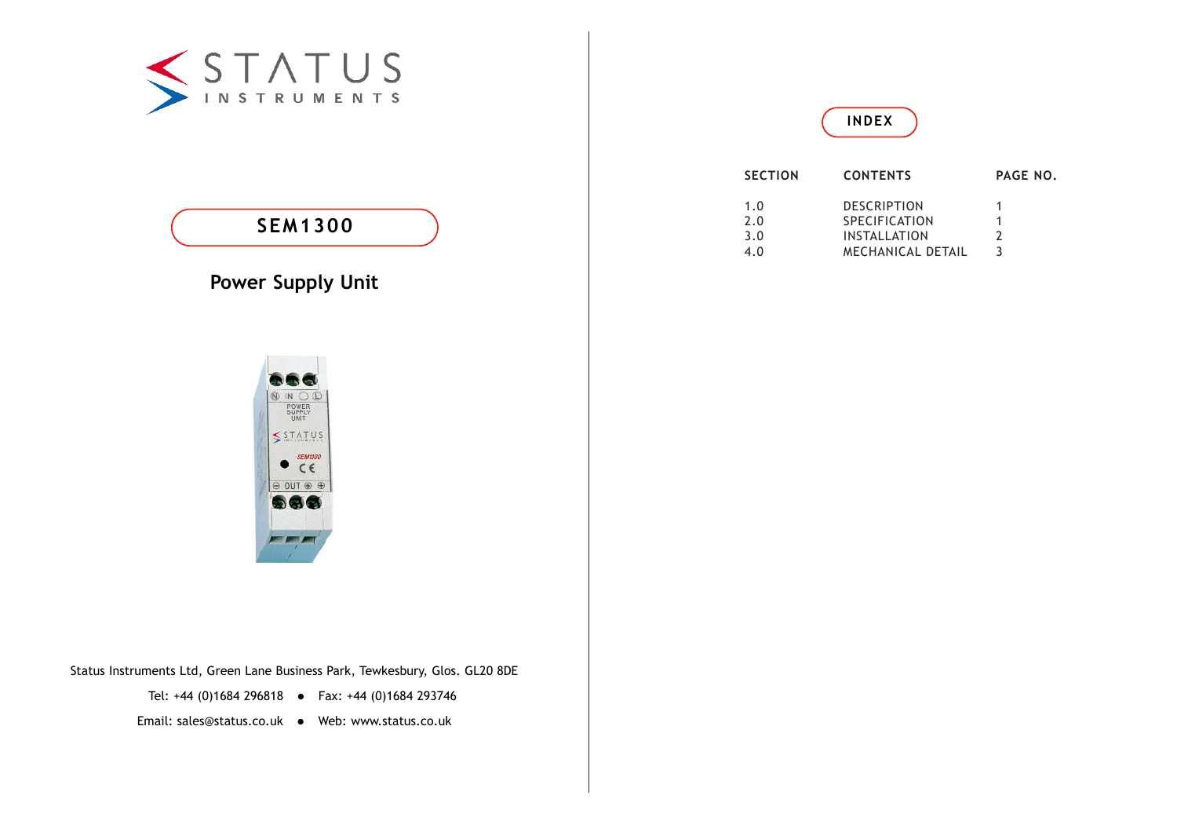

# **SEM1300**

# **Power Supply Unit**



| <b>SECTION</b> | <b>CONTENTS</b>          | PAGE NO. |
|----------------|--------------------------|----------|
| 1.0            | <b>DESCRIPTION</b>       |          |
| 2.0            | <b>SPECIFICATION</b>     |          |
| 3.0            | <b>INSTALLATION</b>      | 2        |
| 4.0            | <b>MECHANICAL DETAIL</b> |          |



Status Instruments Ltd, Green Lane Business Park, Tewkesbury, Glos. GL20 8DE

Tel: +44 (0)1684 296818 • Fax: +44 (0)1684 293746

Email: sales@status.co.uk • Web: www.status.co.uk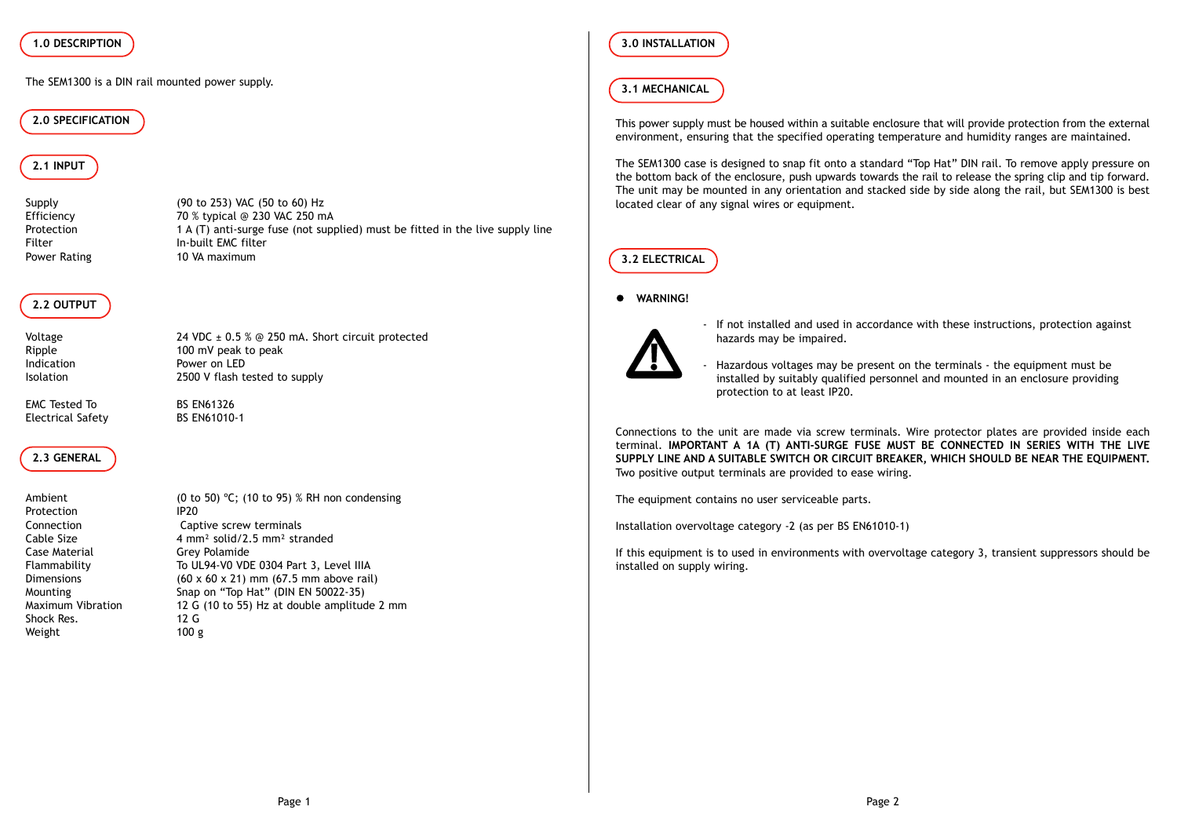#### **1.0 DESCRIPTION**

The SEM1300 is a DIN rail mounted power supply.

#### **2.0 SPECIFICATION**

# **2.1 INPUT**

Power Rating 10 VA maximum

Supply (90 to 253) VAC (50 to 60) Hz<br>Efficiency 70 % typical @ 230 VAC 250 m 70 % typical @ 230 VAC 250 mA Protection 1 A (T) anti-surge fuse (not supplied) must be fitted in the live supply line Filter In-built EMC filter

# **2.2 OUTPUT**

Voltage 24 VDC ± 0.5 % @ 250 mA. Short circuit protected Ripple 100 mV peak to peak Indication **Power on LED** Isolation 2500 V flash tested to supply

EMC Tested To BS EN61326 Electrical Safety BS EN61010-1

#### **2.3 GENERAL**

Protection IP20 Case Material Grey Polamide Shock Res. 12 G Weight 100 g

Ambient (0 to 50) °C; (10 to 95) % RH non condensing Connection Captive screw terminals Cable Size 4 mm<sup>2</sup> solid/2.5 mm<sup>2</sup> stranded Flammability To UL94-V0 VDE 0304 Part 3, Level IIIA Dimensions  $(60 \times 60 \times 21)$  mm  $(67.5$  mm above rail) Mounting Snap on "Top Hat" (DIN EN 50022-35)<br>Maximum Vibration 12 G (10 to 55) Hz at double amplitud 12 G (10 to 55) Hz at double amplitude 2 mm

## **3.0 INSTALLATION**

#### **3.1 MECHANICAL**

This power supply must be housed within a suitable enclosure that will provide protection from the external environment, ensuring that the specified operating temperature and humidity ranges are maintained.

The SEM1300 case is designed to snap fit onto a standard "Top Hat" DIN rail. To remove apply pressure on the bottom back of the enclosure, push upwards towards the rail to release the spring clip and tip forward. The unit may be mounted in any orientation and stacked side by side along the rail, but SEM1300 is best located clear of any signal wires or equipment.

### **3.2 ELECTRICAL**

#### $\bullet$  **WARNING!**



- If not installed and used in accordance with these instructions, protection against hazards may be impaired.

- Hazardous voltages may be present on the terminals - the equipment must be installed by suitably qualified personnel and mounted in an enclosure providing protection to at least IP20.

Connections to the unit are made via screw terminals. Wire protector plates are provided inside each terminal. **IMPORTANT A 1A (T) ANTI-SURGE FUSE MUST BE CONNECTED IN SERIES WITH THE LIVE SUPPLY LINE AND A SUITABLE SWITCH OR CIRCUIT BREAKER, WHICH SHOULD BE NEAR THE EQUIPMENT.** Two positive output terminals are provided to ease wiring.

The equipment contains no user serviceable parts.

Installation overvoltage category -2 (as per BS EN61010-1)

If this equipment is to used in environments with overvoltage category 3, transient suppressors should be installed on supply wiring.